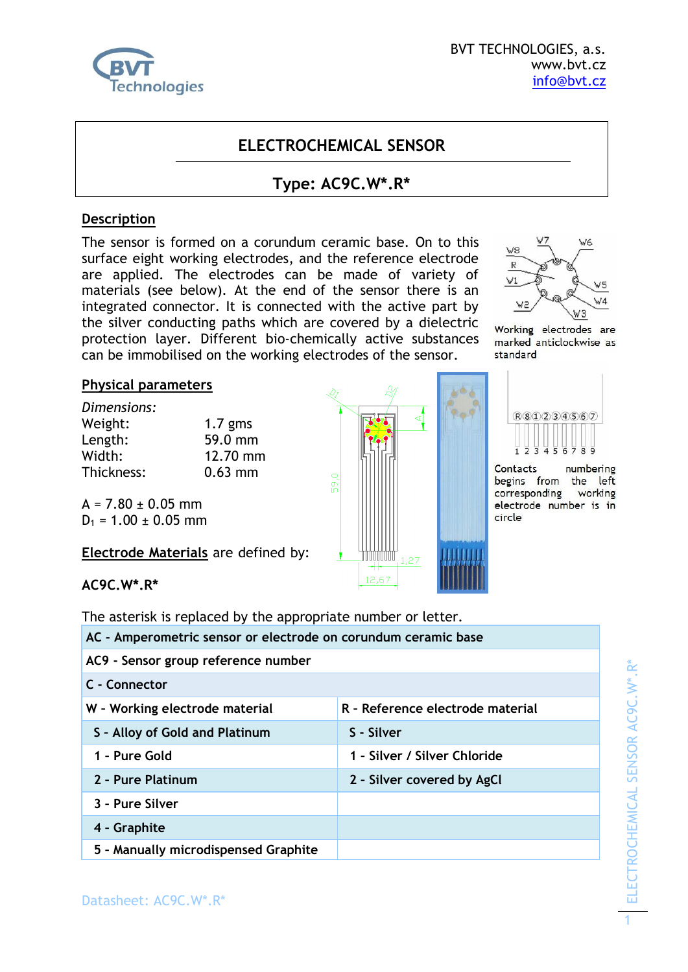

# **ELECTROCHEMICAL SENSOR**

# **Type: AC9C.W\*.R\***

# **Description**

The sensor is formed on a corundum ceramic base. On to this surface eight working electrodes, and the reference electrode are applied. The electrodes can be made of variety of materials (see below). At the end of the sensor there is an integrated connector. It is connected with the active part by the silver conducting paths which are covered by a dielectric protection layer. Different bio-chemically active substances can be immobilised on the working electrodes of the sensor.



Working electrodes are marked anticlockwise as standard

# **Physical parameters**

| Dimensions: |           |
|-------------|-----------|
| Weight:     | $1.7$ gms |
| Length:     | 59.0 mm   |
| Width:      | 12.70 mm  |
| Thickness:  | $0.63$ mm |

 $A = 7.80 + 0.05$  mm  $D_1 = 1.00 \pm 0.05$  mm

**Electrode Materials** are defined by:





numbering Contacts begins from the left corresponding working electrode number is in circle

**AC9C.W\*.R\***

The asterisk is replaced by the appropriate number or letter.

| AC - Amperometric sensor or electrode on corundum ceramic base |                                  |  |
|----------------------------------------------------------------|----------------------------------|--|
| AC9 - Sensor group reference number                            |                                  |  |
| C - Connector                                                  |                                  |  |
| W - Working electrode material                                 | R - Reference electrode material |  |
| S - Alloy of Gold and Platinum                                 | S - Silver                       |  |
| 1 - Pure Gold                                                  | 1 - Silver / Silver Chloride     |  |
| 2 - Pure Platinum                                              | 2 - Silver covered by AgCl       |  |
| 3 - Pure Silver                                                |                                  |  |
| 4 - Graphite                                                   |                                  |  |
| 5 - Manually microdispensed Graphite                           |                                  |  |

ELECTROCHEMICAL SENSOR AC9C.W\*.R\*

ELECTROCHEMICAL SENSOR AC9C.W\*.R\*